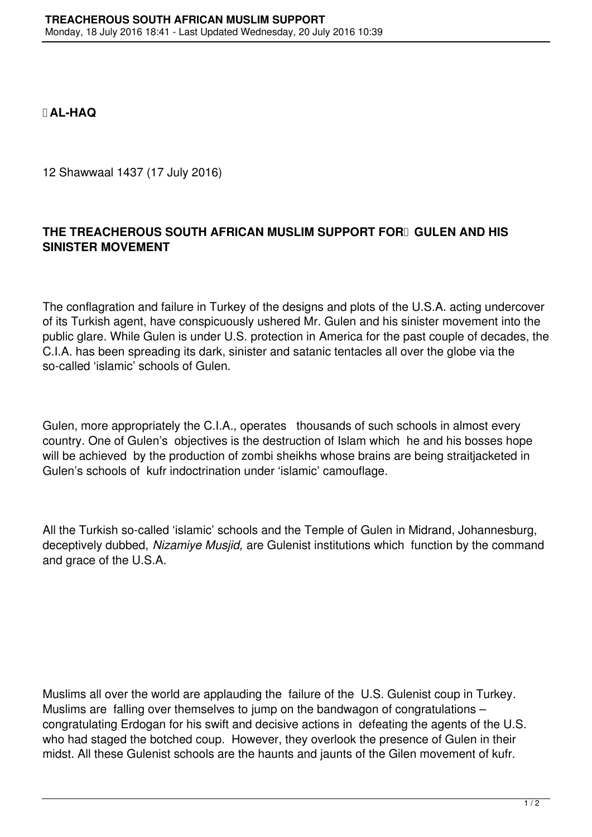**AL-HAQ**

12 Shawwaal 1437 (17 July 2016)

## THE TREACHEROUS SOUTH AFRICAN MUSLIM SUPPORT FOR **GULEN AND HIS SINISTER MOVEMENT**

The conflagration and failure in Turkey of the designs and plots of the U.S.A. acting undercover of its Turkish agent, have conspicuously ushered Mr. Gulen and his sinister movement into the public glare. While Gulen is under U.S. protection in America for the past couple of decades, the C.I.A. has been spreading its dark, sinister and satanic tentacles all over the globe via the so-called 'islamic' schools of Gulen.

Gulen, more appropriately the C.I.A., operates thousands of such schools in almost every country. One of Gulen's objectives is the destruction of Islam which he and his bosses hope will be achieved by the production of zombi sheikhs whose brains are being straitjacketed in Gulen's schools of kufr indoctrination under 'islamic' camouflage.

All the Turkish so-called 'islamic' schools and the Temple of Gulen in Midrand, Johannesburg, deceptively dubbed, *Nizamiye Musjid,* are Gulenist institutions which function by the command and grace of the U.S.A.

Muslims all over the world are applauding the failure of the U.S. Gulenist coup in Turkey. Muslims are falling over themselves to jump on the bandwagon of congratulations – congratulating Erdogan for his swift and decisive actions in defeating the agents of the U.S. who had staged the botched coup. However, they overlook the presence of Gulen in their midst. All these Gulenist schools are the haunts and jaunts of the Gilen movement of kufr.